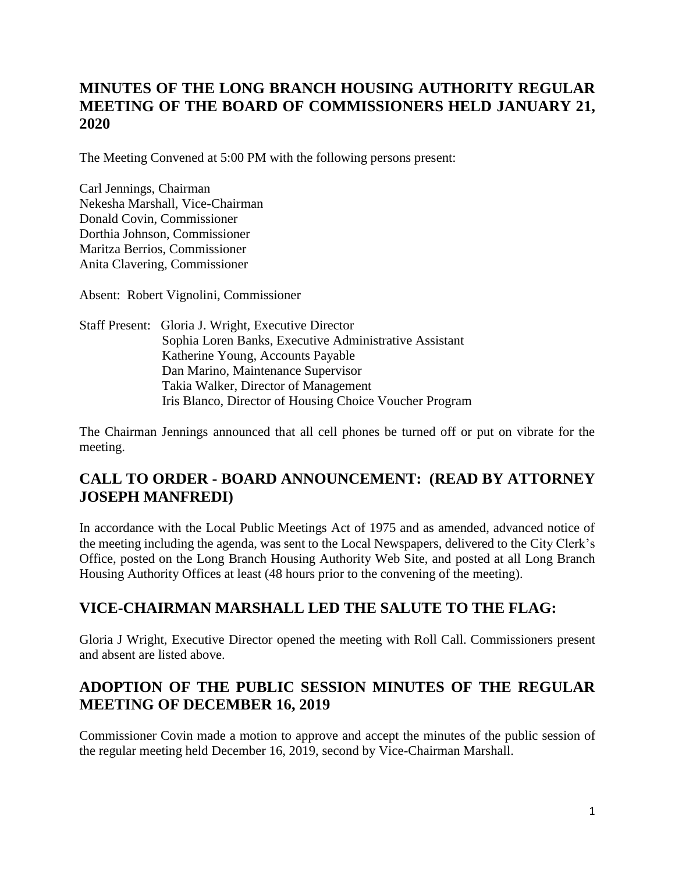# **MINUTES OF THE LONG BRANCH HOUSING AUTHORITY REGULAR MEETING OF THE BOARD OF COMMISSIONERS HELD JANUARY 21, 2020**

The Meeting Convened at 5:00 PM with the following persons present:

Carl Jennings, Chairman Nekesha Marshall, Vice-Chairman Donald Covin, Commissioner Dorthia Johnson, Commissioner Maritza Berrios, Commissioner Anita Clavering, Commissioner

Absent: Robert Vignolini, Commissioner

Staff Present: Gloria J. Wright, Executive Director Sophia Loren Banks, Executive Administrative Assistant Katherine Young, Accounts Payable Dan Marino, Maintenance Supervisor Takia Walker, Director of Management Iris Blanco, Director of Housing Choice Voucher Program

The Chairman Jennings announced that all cell phones be turned off or put on vibrate for the meeting.

# **CALL TO ORDER - BOARD ANNOUNCEMENT: (READ BY ATTORNEY JOSEPH MANFREDI)**

In accordance with the Local Public Meetings Act of 1975 and as amended, advanced notice of the meeting including the agenda, was sent to the Local Newspapers, delivered to the City Clerk's Office, posted on the Long Branch Housing Authority Web Site, and posted at all Long Branch Housing Authority Offices at least (48 hours prior to the convening of the meeting).

# **VICE-CHAIRMAN MARSHALL LED THE SALUTE TO THE FLAG:**

Gloria J Wright, Executive Director opened the meeting with Roll Call. Commissioners present and absent are listed above.

# **ADOPTION OF THE PUBLIC SESSION MINUTES OF THE REGULAR MEETING OF DECEMBER 16, 2019**

Commissioner Covin made a motion to approve and accept the minutes of the public session of the regular meeting held December 16, 2019, second by Vice-Chairman Marshall.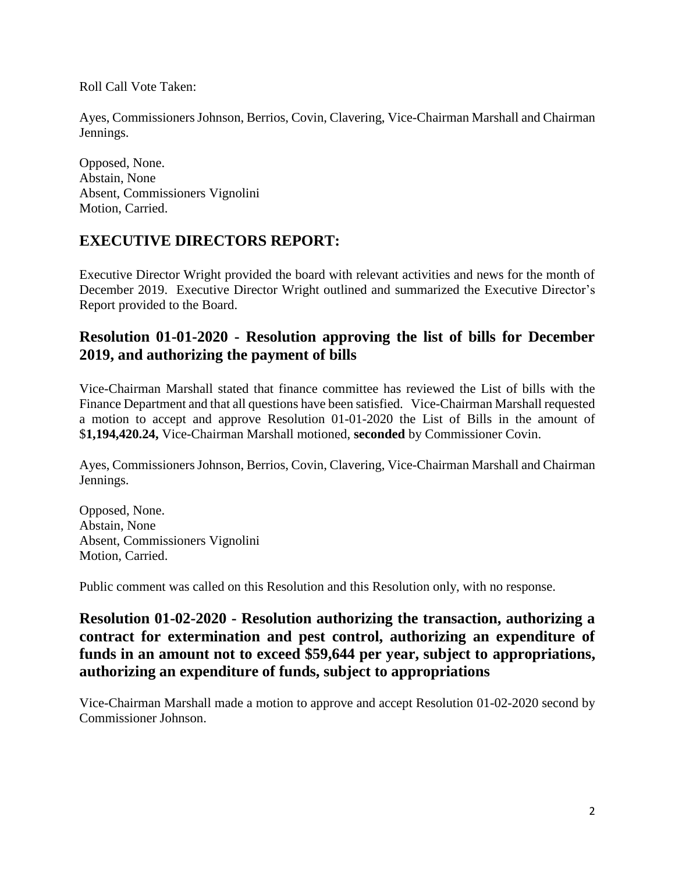Roll Call Vote Taken:

Ayes, Commissioners Johnson, Berrios, Covin, Clavering, Vice-Chairman Marshall and Chairman Jennings.

Opposed, None. Abstain, None Absent, Commissioners Vignolini Motion, Carried.

### **EXECUTIVE DIRECTORS REPORT:**

Executive Director Wright provided the board with relevant activities and news for the month of December 2019. Executive Director Wright outlined and summarized the Executive Director's Report provided to the Board.

### **Resolution 01-01-2020 - Resolution approving the list of bills for December 2019, and authorizing the payment of bills**

Vice-Chairman Marshall stated that finance committee has reviewed the List of bills with the Finance Department and that all questions have been satisfied. Vice-Chairman Marshall requested a motion to accept and approve Resolution 01-01-2020 the List of Bills in the amount of \$**1,194,420.24,** Vice-Chairman Marshall motioned, **seconded** by Commissioner Covin.

Ayes, Commissioners Johnson, Berrios, Covin, Clavering, Vice-Chairman Marshall and Chairman Jennings.

Opposed, None. Abstain, None Absent, Commissioners Vignolini Motion, Carried.

Public comment was called on this Resolution and this Resolution only, with no response.

### **Resolution 01-02-2020 - Resolution authorizing the transaction, authorizing a contract for extermination and pest control, authorizing an expenditure of funds in an amount not to exceed \$59,644 per year, subject to appropriations, authorizing an expenditure of funds, subject to appropriations**

Vice-Chairman Marshall made a motion to approve and accept Resolution 01-02-2020 second by Commissioner Johnson.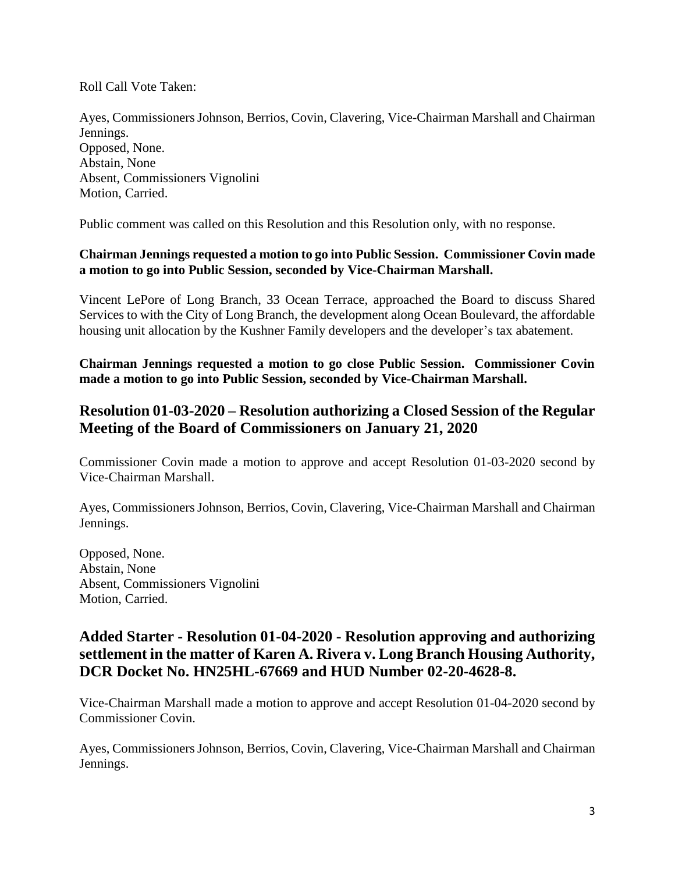Roll Call Vote Taken:

Ayes, Commissioners Johnson, Berrios, Covin, Clavering, Vice-Chairman Marshall and Chairman Jennings. Opposed, None. Abstain, None Absent, Commissioners Vignolini Motion, Carried.

Public comment was called on this Resolution and this Resolution only, with no response.

#### **Chairman Jennings requested a motion to go into Public Session. Commissioner Covin made a motion to go into Public Session, seconded by Vice-Chairman Marshall.**

Vincent LePore of Long Branch, 33 Ocean Terrace, approached the Board to discuss Shared Services to with the City of Long Branch, the development along Ocean Boulevard, the affordable housing unit allocation by the Kushner Family developers and the developer's tax abatement.

**Chairman Jennings requested a motion to go close Public Session. Commissioner Covin made a motion to go into Public Session, seconded by Vice-Chairman Marshall.**

### **Resolution 01-03-2020 – Resolution authorizing a Closed Session of the Regular Meeting of the Board of Commissioners on January 21, 2020**

Commissioner Covin made a motion to approve and accept Resolution 01-03-2020 second by Vice-Chairman Marshall.

Ayes, Commissioners Johnson, Berrios, Covin, Clavering, Vice-Chairman Marshall and Chairman Jennings.

Opposed, None. Abstain, None Absent, Commissioners Vignolini Motion, Carried.

### **Added Starter - Resolution 01-04-2020 - Resolution approving and authorizing settlement in the matter of Karen A. Rivera v. Long Branch Housing Authority, DCR Docket No. HN25HL-67669 and HUD Number 02-20-4628-8.**

Vice-Chairman Marshall made a motion to approve and accept Resolution 01-04-2020 second by Commissioner Covin.

Ayes, Commissioners Johnson, Berrios, Covin, Clavering, Vice-Chairman Marshall and Chairman Jennings.